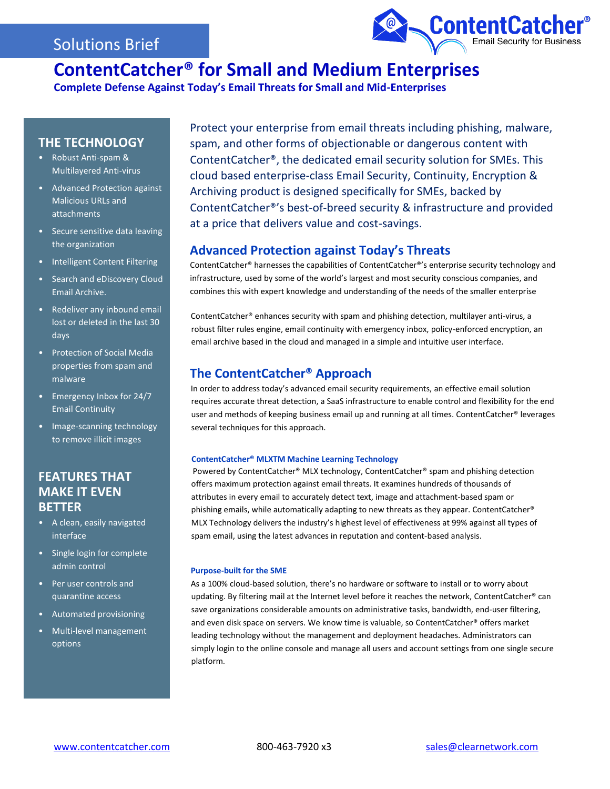## Solutions Brief



# **ContentCatcher® for Small and Medium Enterprises**

**Complete Defense Against Today's Email Threats for Small and Mid-Enterprises**

### **THE TECHNOLOGY**

- Robust Anti-spam & Multilayered Anti-virus
- Advanced Protection against Malicious URLs and attachments
- Secure sensitive data leaving the organization
- Intelligent Content Filtering
- Search and eDiscovery Cloud Email Archive.
- Redeliver any inbound email lost or deleted in the last 30 days
- Protection of Social Media properties from spam and malware
- Emergency Inbox for 24/7 Email Continuity
- Image-scanning technology to remove illicit images

### **FEATURES THAT MAKE IT EVEN BETTER**

- A clean, easily navigated interface
- Single login for complete admin control
- Per user controls and quarantine access
- Automated provisioning
- Multi-level management options

Protect your enterprise from email threats including phishing, malware, spam, and other forms of objectionable or dangerous content with ContentCatcher®, the dedicated email security solution for SMEs. This cloud based enterprise-class Email Security, Continuity, Encryption & Archiving product is designed specifically for SMEs, backed by ContentCatcher®'s best-of-breed security & infrastructure and provided at a price that delivers value and cost-savings.

### **Advanced Protection against Today's Threats**

ContentCatcher® harnesses the capabilities of ContentCatcher®'s enterprise security technology and infrastructure, used by some of the world's largest and most security conscious companies, and combines this with expert knowledge and understanding of the needs of the smaller enterprise

ContentCatcher® enhances security with spam and phishing detection, multilayer anti-virus, a robust filter rules engine, email continuity with emergency inbox, policy-enforced encryption, an email archive based in the cloud and managed in a simple and intuitive user interface.

### **The ContentCatcher® Approach**

In order to address today's advanced email security requirements, an effective email solution requires accurate threat detection, a SaaS infrastructure to enable control and flexibility for the end user and methods of keeping business email up and running at all times. ContentCatcher® leverages several techniques for this approach.

### **ContentCatcher® MLXTM Machine Learning Technology**

Powered by ContentCatcher® MLX technology, ContentCatcher® spam and phishing detection offers maximum protection against email threats. It examines hundreds of thousands of attributes in every email to accurately detect text, image and attachment-based spam or phishing emails, while automatically adapting to new threats as they appear. ContentCatcher® MLX Technology delivers the industry's highest level of effectiveness at 99% against all types of spam email, using the latest advances in reputation and content-based analysis.

### **Purpose-built for the SME**

As a 100% cloud-based solution, there's no hardware or software to install or to worry about updating. By filtering mail at the Internet level before it reaches the network, ContentCatcher® can save organizations considerable amounts on administrative tasks, bandwidth, end-user filtering, and even disk space on servers. We know time is valuable, so ContentCatcher® offers market leading technology without the management and deployment headaches. Administrators can simply login to the online console and manage all users and account settings from one single secure platform.